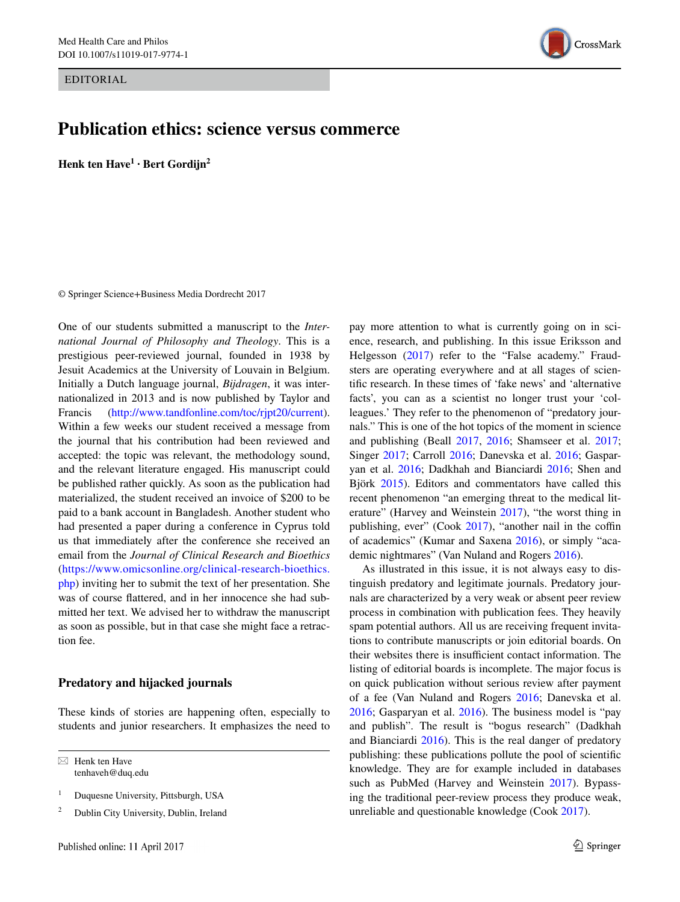EDITORIAL

# **Publication ethics: science versus commerce**

**Henk ten Have1 · Bert Gordijn2**

© Springer Science+Business Media Dordrecht 2017

One of our students submitted a manuscript to the *International Journal of Philosophy and Theology*. This is a prestigious peer-reviewed journal, founded in 1938 by Jesuit Academics at the University of Louvain in Belgium. Initially a Dutch language journal, *Bijdragen*, it was internationalized in 2013 and is now published by Taylor and Francis (<http://www.tandfonline.com/toc/rjpt20/current>). Within a few weeks our student received a message from the journal that his contribution had been reviewed and accepted: the topic was relevant, the methodology sound, and the relevant literature engaged. His manuscript could be published rather quickly. As soon as the publication had materialized, the student received an invoice of \$200 to be paid to a bank account in Bangladesh. Another student who had presented a paper during a conference in Cyprus told us that immediately after the conference she received an email from the *Journal of Clinical Research and Bioethics* ([https://www.omicsonline.org/clinical-research-bioethics.](https://www.omicsonline.org/clinical-research-bioethics.php) [php](https://www.omicsonline.org/clinical-research-bioethics.php)) inviting her to submit the text of her presentation. She was of course flattered, and in her innocence she had submitted her text. We advised her to withdraw the manuscript as soon as possible, but in that case she might face a retraction fee.

## **Predatory and hijacked journals**

These kinds of stories are happening often, especially to students and junior researchers. It emphasizes the need to

 $\boxtimes$  Henk ten Have tenhaveh@duq.edu



As illustrated in this issue, it is not always easy to distinguish predatory and legitimate journals. Predatory journals are characterized by a very weak or absent peer review process in combination with publication fees. They heavily spam potential authors. All us are receiving frequent invitations to contribute manuscripts or join editorial boards. On their websites there is insufficient contact information. The listing of editorial boards is incomplete. The major focus is on quick publication without serious review after payment of a fee (Van Nuland and Rogers [2016](#page-2-13); Danevska et al. [2016](#page-2-6); Gasparyan et al. [2016\)](#page-2-7). The business model is "pay and publish". The result is "bogus research" (Dadkhah and Bianciardi [2016](#page-2-8)). This is the real danger of predatory publishing: these publications pollute the pool of scientific knowledge. They are for example included in databases such as PubMed (Harvey and Weinstein [2017\)](#page-2-10). Bypassing the traditional peer-review process they produce weak, unreliable and questionable knowledge (Cook [2017\)](#page-2-11).



<sup>&</sup>lt;sup>1</sup> Duquesne University, Pittsburgh, USA

<sup>&</sup>lt;sup>2</sup> Dublin City University, Dublin, Ireland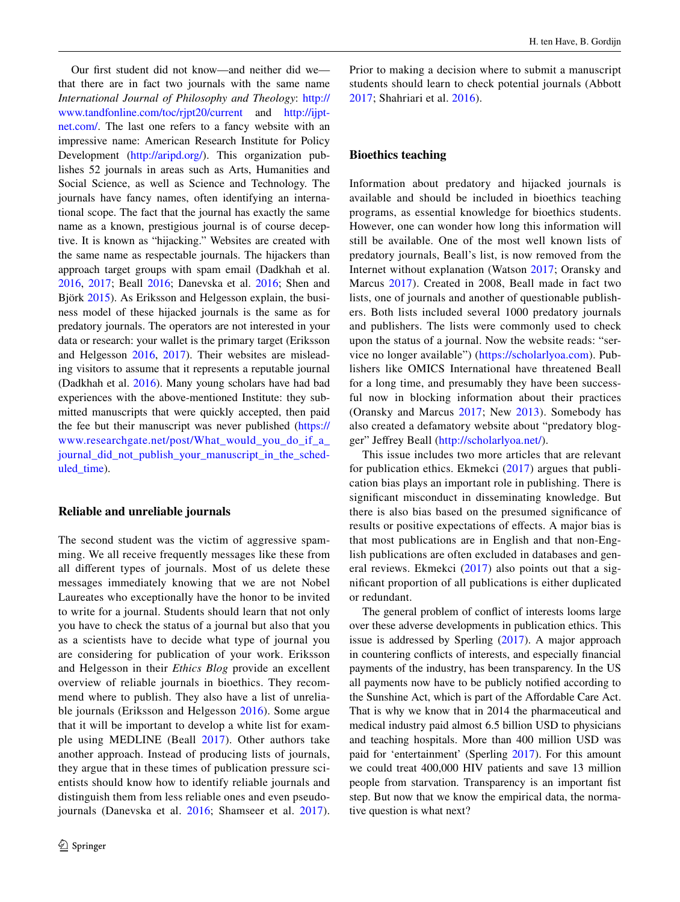Our first student did not know—and neither did we that there are in fact two journals with the same name *International Journal of Philosophy and Theology*: [http://](http://www.tandfonline.com/toc/rjpt20/current) [www.tandfonline.com/toc/rjpt20/current](http://www.tandfonline.com/toc/rjpt20/current) and [http://ijpt](http://ijptnet.com/)[net.com/.](http://ijptnet.com/) The last one refers to a fancy website with an impressive name: American Research Institute for Policy Development [\(http://aripd.org/\)](http://aripd.org/). This organization publishes 52 journals in areas such as Arts, Humanities and Social Science, as well as Science and Technology. The journals have fancy names, often identifying an international scope. The fact that the journal has exactly the same name as a known, prestigious journal is of course deceptive. It is known as "hijacking." Websites are created with the same name as respectable journals. The hijackers than approach target groups with spam email (Dadkhah et al. [2016](#page-2-14), [2017](#page-2-15); Beall [2016](#page-2-2); Danevska et al. [2016;](#page-2-6) Shen and Björk [2015\)](#page-2-9). As Eriksson and Helgesson explain, the business model of these hijacked journals is the same as for predatory journals. The operators are not interested in your data or research: your wallet is the primary target (Eriksson and Helgesson [2016,](#page-2-16) [2017\)](#page-2-0). Their websites are misleading visitors to assume that it represents a reputable journal (Dadkhah et al. [2016\)](#page-2-14). Many young scholars have had bad experiences with the above-mentioned Institute: they submitted manuscripts that were quickly accepted, then paid the fee but their manuscript was never published [\(https://](https://www.researchgate.net/post/What_would_you_do_if_a_journal_did_not_publish_your_manuscript_in_the_scheduled_time) [www.researchgate.net/post/What\\_would\\_you\\_do\\_if\\_a\\_](https://www.researchgate.net/post/What_would_you_do_if_a_journal_did_not_publish_your_manuscript_in_the_scheduled_time) [journal\\_did\\_not\\_publish\\_your\\_manuscript\\_in\\_the\\_sched](https://www.researchgate.net/post/What_would_you_do_if_a_journal_did_not_publish_your_manuscript_in_the_scheduled_time)uled time).

#### **Reliable and unreliable journals**

The second student was the victim of aggressive spamming. We all receive frequently messages like these from all different types of journals. Most of us delete these messages immediately knowing that we are not Nobel Laureates who exceptionally have the honor to be invited to write for a journal. Students should learn that not only you have to check the status of a journal but also that you as a scientists have to decide what type of journal you are considering for publication of your work. Eriksson and Helgesson in their *Ethics Blog* provide an excellent overview of reliable journals in bioethics. They recommend where to publish. They also have a list of unreliable journals (Eriksson and Helgesson [2016\)](#page-2-16). Some argue that it will be important to develop a white list for example using MEDLINE (Beall [2017](#page-2-1)). Other authors take another approach. Instead of producing lists of journals, they argue that in these times of publication pressure scientists should know how to identify reliable journals and distinguish them from less reliable ones and even pseudojournals (Danevska et al. [2016](#page-2-6); Shamseer et al. [2017](#page-2-3)). Prior to making a decision where to submit a manuscript students should learn to check potential journals (Abbott [2017;](#page-2-17) Shahriari et al. [2016\)](#page-2-18).

### **Bioethics teaching**

Information about predatory and hijacked journals is available and should be included in bioethics teaching programs, as essential knowledge for bioethics students. However, one can wonder how long this information will still be available. One of the most well known lists of predatory journals, Beall's list, is now removed from the Internet without explanation (Watson [2017](#page-2-19); Oransky and Marcus [2017](#page-2-20)). Created in 2008, Beall made in fact two lists, one of journals and another of questionable publishers. Both lists included several 1000 predatory journals and publishers. The lists were commonly used to check upon the status of a journal. Now the website reads: "service no longer available") ([https://scholarlyoa.com\)](https://scholarlyoa.com). Publishers like OMICS International have threatened Beall for a long time, and presumably they have been successful now in blocking information about their practices (Oransky and Marcus [2017](#page-2-20); New [2013\)](#page-2-21). Somebody has also created a defamatory website about "predatory blogger" Jeffrey Beall ([http://scholarlyoa.net/\)](http://scholarlyoa.net/).

This issue includes two more articles that are relevant for publication ethics. Ekmekci ([2017](#page-2-22)) argues that publication bias plays an important role in publishing. There is significant misconduct in disseminating knowledge. But there is also bias based on the presumed significance of results or positive expectations of effects. A major bias is that most publications are in English and that non-English publications are often excluded in databases and general reviews. Ekmekci ([2017\)](#page-2-22) also points out that a significant proportion of all publications is either duplicated or redundant.

The general problem of conflict of interests looms large over these adverse developments in publication ethics. This issue is addressed by Sperling [\(2017](#page-2-23)). A major approach in countering conflicts of interests, and especially financial payments of the industry, has been transparency. In the US all payments now have to be publicly notified according to the Sunshine Act, which is part of the Affordable Care Act. That is why we know that in 2014 the pharmaceutical and medical industry paid almost 6.5 billion USD to physicians and teaching hospitals. More than 400 million USD was paid for 'entertainment' (Sperling [2017\)](#page-2-23). For this amount we could treat 400,000 HIV patients and save 13 million people from starvation. Transparency is an important fist step. But now that we know the empirical data, the normative question is what next?